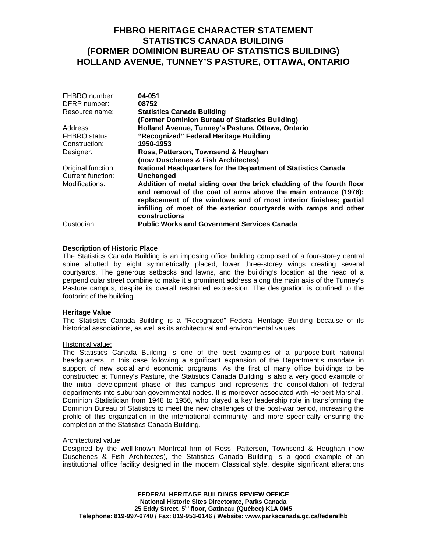## **FHBRO HERITAGE CHARACTER STATEMENT STATISTICS CANADA BUILDING (FORMER DOMINION BUREAU OF STATISTICS BUILDING) HOLLAND AVENUE, TUNNEY'S PASTURE, OTTAWA, ONTARIO**

| FHBRO number:      | 04-051                                                                                                                                                                                                                                                                                             |
|--------------------|----------------------------------------------------------------------------------------------------------------------------------------------------------------------------------------------------------------------------------------------------------------------------------------------------|
| DFRP number:       | 08752                                                                                                                                                                                                                                                                                              |
| Resource name:     | <b>Statistics Canada Building</b>                                                                                                                                                                                                                                                                  |
|                    | (Former Dominion Bureau of Statistics Building)                                                                                                                                                                                                                                                    |
| Address:           | Holland Avenue, Tunney's Pasture, Ottawa, Ontario                                                                                                                                                                                                                                                  |
| FHBRO status:      | "Recognized" Federal Heritage Building                                                                                                                                                                                                                                                             |
| Construction:      | 1950-1953                                                                                                                                                                                                                                                                                          |
| Designer:          | Ross, Patterson, Townsend & Heughan                                                                                                                                                                                                                                                                |
|                    | (now Duschenes & Fish Architectes)                                                                                                                                                                                                                                                                 |
| Original function: | National Headquarters for the Department of Statistics Canada                                                                                                                                                                                                                                      |
| Current function:  | Unchanged                                                                                                                                                                                                                                                                                          |
| Modifications:     | Addition of metal siding over the brick cladding of the fourth floor<br>and removal of the coat of arms above the main entrance (1976);<br>replacement of the windows and of most interior finishes; partial<br>infilling of most of the exterior courtyards with ramps and other<br>constructions |
| Custodian:         | <b>Public Works and Government Services Canada</b>                                                                                                                                                                                                                                                 |

### **Description of Historic Place**

The Statistics Canada Building is an imposing office building composed of a four-storey central spine abutted by eight symmetrically placed, lower three-storey wings creating several courtyards. The generous setbacks and lawns, and the building's location at the head of a perpendicular street combine to make it a prominent address along the main axis of the Tunney's Pasture campus, despite its overall restrained expression. The designation is confined to the footprint of the building.

### **Heritage Value**

The Statistics Canada Building is a "Recognized" Federal Heritage Building because of its historical associations, as well as its architectural and environmental values.

#### Historical value:

The Statistics Canada Building is one of the best examples of a purpose-built national headquarters, in this case following a significant expansion of the Department's mandate in support of new social and economic programs. As the first of many office buildings to be constructed at Tunney's Pasture, the Statistics Canada Building is also a very good example of the initial development phase of this campus and represents the consolidation of federal departments into suburban governmental nodes. It is moreover associated with Herbert Marshall, Dominion Statistician from 1948 to 1956, who played a key leadership role in transforming the Dominion Bureau of Statistics to meet the new challenges of the post-war period, increasing the profile of this organization in the international community, and more specifically ensuring the completion of the Statistics Canada Building.

### Architectural value:

Designed by the well-known Montreal firm of Ross, Patterson, Townsend & Heughan (now Duschenes & Fish Architectes), the Statistics Canada Building is a good example of an institutional office facility designed in the modern Classical style, despite significant alterations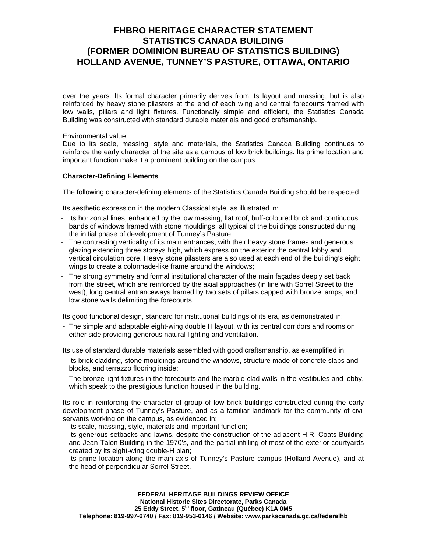# **FHBRO HERITAGE CHARACTER STATEMENT STATISTICS CANADA BUILDING (FORMER DOMINION BUREAU OF STATISTICS BUILDING) HOLLAND AVENUE, TUNNEY'S PASTURE, OTTAWA, ONTARIO**

over the years. Its formal character primarily derives from its layout and massing, but is also reinforced by heavy stone pilasters at the end of each wing and central forecourts framed with low walls, pillars and light fixtures. Functionally simple and efficient, the Statistics Canada Building was constructed with standard durable materials and good craftsmanship.

### Environmental value:

Due to its scale, massing, style and materials, the Statistics Canada Building continues to reinforce the early character of the site as a campus of low brick buildings. Its prime location and important function make it a prominent building on the campus.

### **Character-Defining Elements**

The following character-defining elements of the Statistics Canada Building should be respected:

Its aesthetic expression in the modern Classical style, as illustrated in:

- Its horizontal lines, enhanced by the low massing, flat roof, buff-coloured brick and continuous bands of windows framed with stone mouldings, all typical of the buildings constructed during the initial phase of development of Tunney's Pasture;
- The contrasting verticality of its main entrances, with their heavy stone frames and generous glazing extending three storeys high, which express on the exterior the central lobby and vertical circulation core. Heavy stone pilasters are also used at each end of the building's eight wings to create a colonnade-like frame around the windows;
- The strong symmetry and formal institutional character of the main façades deeply set back from the street, which are reinforced by the axial approaches (in line with Sorrel Street to the west), long central entranceways framed by two sets of pillars capped with bronze lamps, and low stone walls delimiting the forecourts.

Its good functional design, standard for institutional buildings of its era, as demonstrated in:

- The simple and adaptable eight-wing double H layout, with its central corridors and rooms on either side providing generous natural lighting and ventilation.

Its use of standard durable materials assembled with good craftsmanship, as exemplified in:

- Its brick cladding, stone mouldings around the windows, structure made of concrete slabs and blocks, and terrazzo flooring inside;
- The bronze light fixtures in the forecourts and the marble-clad walls in the vestibules and lobby, which speak to the prestigious function housed in the building.

Its role in reinforcing the character of group of low brick buildings constructed during the early development phase of Tunney's Pasture, and as a familiar landmark for the community of civil servants working on the campus, as evidenced in:

- Its scale, massing, style, materials and important function;
- Its generous setbacks and lawns, despite the construction of the adjacent H.R. Coats Building and Jean-Talon Building in the 1970's, and the partial infilling of most of the exterior courtyards created by its eight-wing double-H plan;
- Its prime location along the main axis of Tunney's Pasture campus (Holland Avenue), and at the head of perpendicular Sorrel Street.